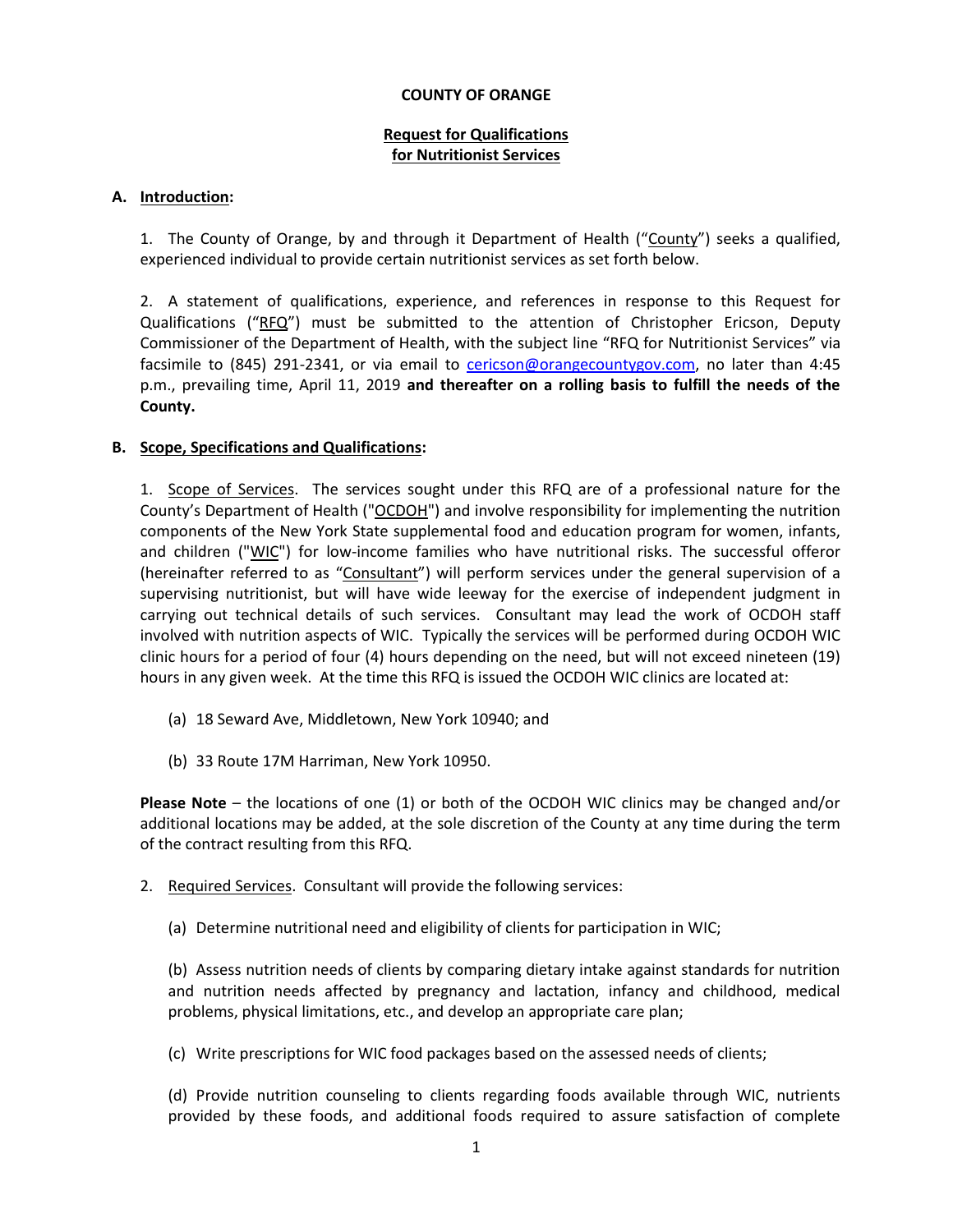#### **COUNTY OF ORANGE**

## **Request for Qualifications for Nutritionist Services**

### **A. Introduction:**

1. The County of Orange, by and through it Department of Health ("County") seeks a qualified, experienced individual to provide certain nutritionist services as set forth below.

2. A statement of qualifications, experience, and references in response to this Request for Qualifications ("RFQ") must be submitted to the attention of Christopher Ericson, Deputy Commissioner of the Department of Health, with the subject line "RFQ for Nutritionist Services" via facsimile to (845) 291-2341, or via email to [cericson@orangecountygov.com,](mailto:cericson@orangecountygov.com) no later than 4:45 p.m., prevailing time, April 11, 2019 **and thereafter on a rolling basis to fulfill the needs of the County.**

## **B. Scope, Specifications and Qualifications:**

1. Scope of Services. The services sought under this RFQ are of a professional nature for the County's Department of Health ("OCDOH") and involve responsibility for implementing the nutrition components of the New York State supplemental food and education program for women, infants, and children ("WIC") for low-income families who have nutritional risks. The successful offeror (hereinafter referred to as "Consultant") will perform services under the general supervision of a supervising nutritionist, but will have wide leeway for the exercise of independent judgment in carrying out technical details of such services. Consultant may lead the work of OCDOH staff involved with nutrition aspects of WIC. Typically the services will be performed during OCDOH WIC clinic hours for a period of four (4) hours depending on the need, but will not exceed nineteen (19) hours in any given week. At the time this RFQ is issued the OCDOH WIC clinics are located at:

- (a) 18 Seward Ave, Middletown, New York 10940; and
- (b) 33 Route 17M Harriman, New York 10950.

**Please Note** – the locations of one (1) or both of the OCDOH WIC clinics may be changed and/or additional locations may be added, at the sole discretion of the County at any time during the term of the contract resulting from this RFQ.

- 2. Required Services. Consultant will provide the following services:
	- (a) Determine nutritional need and eligibility of clients for participation in WIC;

(b) Assess nutrition needs of clients by comparing dietary intake against standards for nutrition and nutrition needs affected by pregnancy and lactation, infancy and childhood, medical problems, physical limitations, etc., and develop an appropriate care plan;

(c) Write prescriptions for WIC food packages based on the assessed needs of clients;

(d) Provide nutrition counseling to clients regarding foods available through WIC, nutrients provided by these foods, and additional foods required to assure satisfaction of complete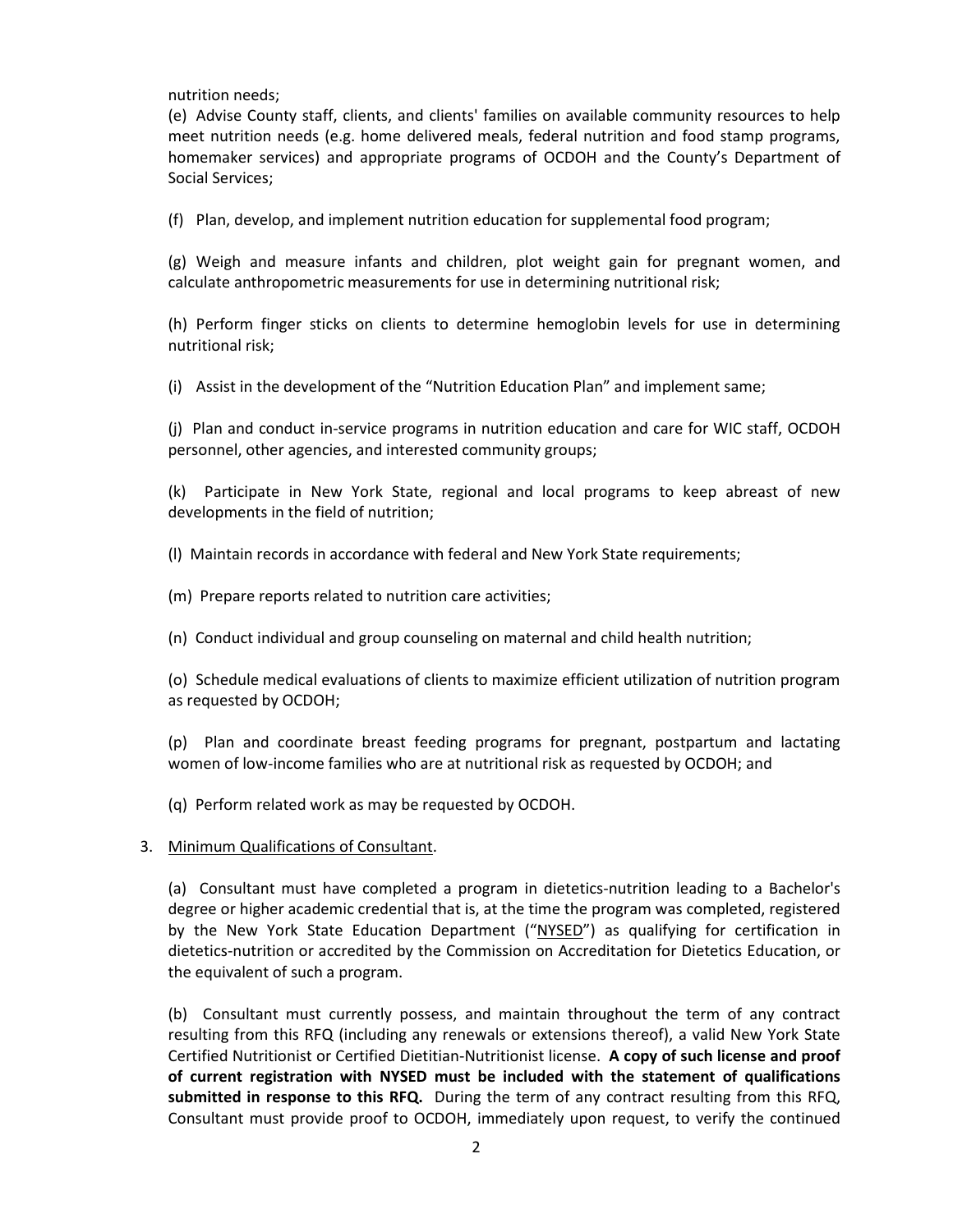nutrition needs;

(e) Advise County staff, clients, and clients' families on available community resources to help meet nutrition needs (e.g. home delivered meals, federal nutrition and food stamp programs, homemaker services) and appropriate programs of OCDOH and the County's Department of Social Services;

(f) Plan, develop, and implement nutrition education for supplemental food program;

(g) Weigh and measure infants and children, plot weight gain for pregnant women, and calculate anthropometric measurements for use in determining nutritional risk;

(h) Perform finger sticks on clients to determine hemoglobin levels for use in determining nutritional risk;

(i) Assist in the development of the "Nutrition Education Plan" and implement same;

(j) Plan and conduct in-service programs in nutrition education and care for WIC staff, OCDOH personnel, other agencies, and interested community groups;

(k) Participate in New York State, regional and local programs to keep abreast of new developments in the field of nutrition;

(l) Maintain records in accordance with federal and New York State requirements;

- (m) Prepare reports related to nutrition care activities;
- (n) Conduct individual and group counseling on maternal and child health nutrition;

(o) Schedule medical evaluations of clients to maximize efficient utilization of nutrition program as requested by OCDOH;

(p) Plan and coordinate breast feeding programs for pregnant, postpartum and lactating women of low-income families who are at nutritional risk as requested by OCDOH; and

(q) Perform related work as may be requested by OCDOH.

#### 3. Minimum Qualifications of Consultant.

(a) Consultant must have completed a program in dietetics-nutrition leading to a Bachelor's degree or higher academic credential that is, at the time the program was completed, registered by the New York State Education Department ("NYSED") as qualifying for certification in dietetics-nutrition or accredited by the Commission on Accreditation for Dietetics Education, or the equivalent of such a program.

(b) Consultant must currently possess, and maintain throughout the term of any contract resulting from this RFQ (including any renewals or extensions thereof), a valid New York State Certified Nutritionist or Certified Dietitian-Nutritionist license. **A copy of such license and proof of current registration with NYSED must be included with the statement of qualifications submitted in response to this RFQ.** During the term of any contract resulting from this RFQ, Consultant must provide proof to OCDOH, immediately upon request, to verify the continued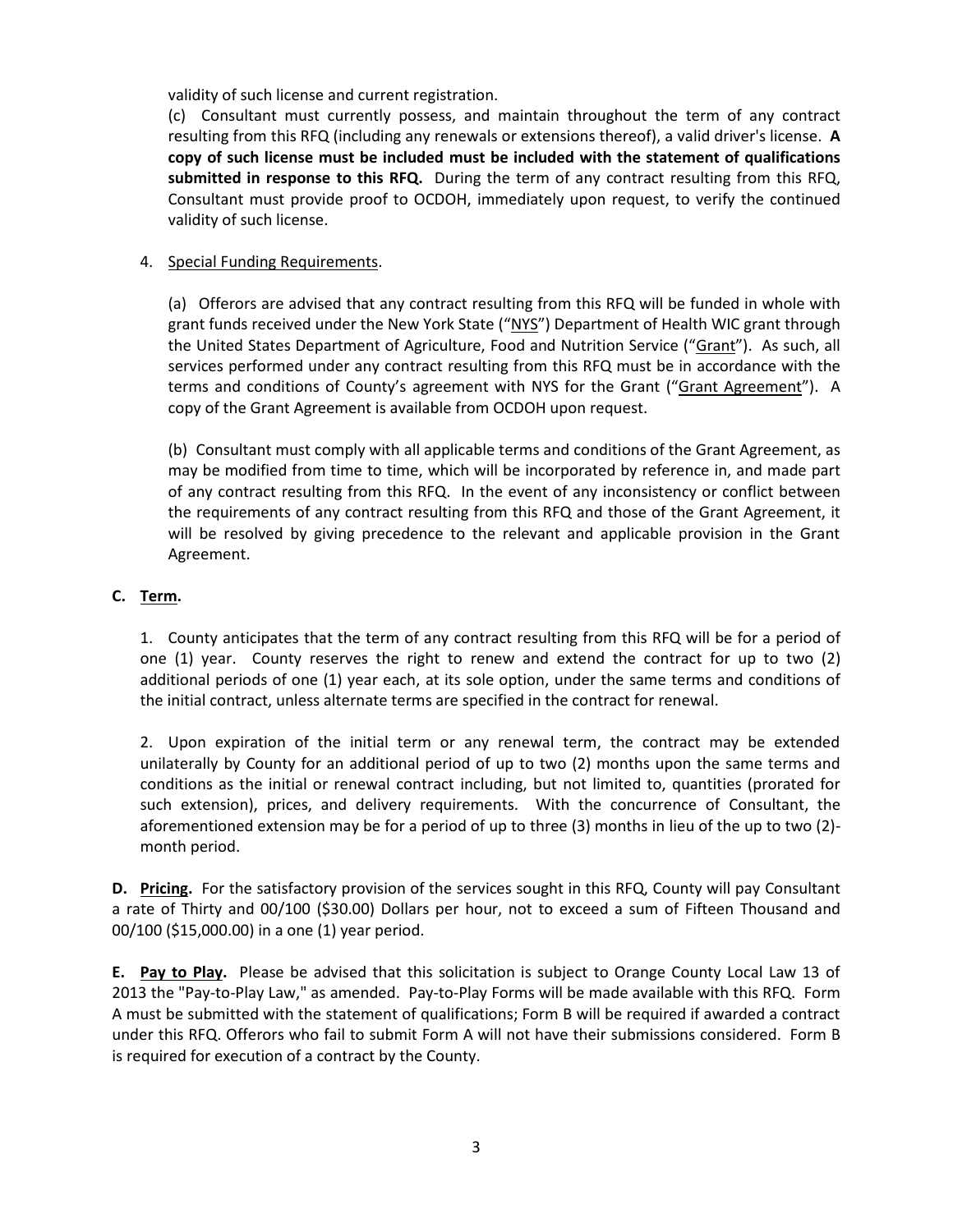validity of such license and current registration.

(c) Consultant must currently possess, and maintain throughout the term of any contract resulting from this RFQ (including any renewals or extensions thereof), a valid driver's license. **A copy of such license must be included must be included with the statement of qualifications submitted in response to this RFQ.** During the term of any contract resulting from this RFQ, Consultant must provide proof to OCDOH, immediately upon request, to verify the continued validity of such license.

## 4. Special Funding Requirements.

(a) Offerors are advised that any contract resulting from this RFQ will be funded in whole with grant funds received under the New York State ("NYS") Department of Health WIC grant through the United States Department of Agriculture, Food and Nutrition Service ("Grant"). As such, all services performed under any contract resulting from this RFQ must be in accordance with the terms and conditions of County's agreement with NYS for the Grant ("Grant Agreement"). A copy of the Grant Agreement is available from OCDOH upon request.

(b) Consultant must comply with all applicable terms and conditions of the Grant Agreement, as may be modified from time to time, which will be incorporated by reference in, and made part of any contract resulting from this RFQ. In the event of any inconsistency or conflict between the requirements of any contract resulting from this RFQ and those of the Grant Agreement, it will be resolved by giving precedence to the relevant and applicable provision in the Grant Agreement.

## **C. Term.**

1. County anticipates that the term of any contract resulting from this RFQ will be for a period of one (1) year. County reserves the right to renew and extend the contract for up to two (2) additional periods of one (1) year each, at its sole option, under the same terms and conditions of the initial contract, unless alternate terms are specified in the contract for renewal.

2. Upon expiration of the initial term or any renewal term, the contract may be extended unilaterally by County for an additional period of up to two (2) months upon the same terms and conditions as the initial or renewal contract including, but not limited to, quantities (prorated for such extension), prices, and delivery requirements. With the concurrence of Consultant, the aforementioned extension may be for a period of up to three (3) months in lieu of the up to two (2) month period.

**D. Pricing.** For the satisfactory provision of the services sought in this RFQ, County will pay Consultant a rate of Thirty and 00/100 (\$30.00) Dollars per hour, not to exceed a sum of Fifteen Thousand and 00/100 (\$15,000.00) in a one (1) year period.

**E. Pay to Play.** Please be advised that this solicitation is subject to Orange County Local Law 13 of 2013 the "Pay-to-Play Law," as amended. Pay-to-Play Forms will be made available with this RFQ. Form A must be submitted with the statement of qualifications; Form B will be required if awarded a contract under this RFQ. Offerors who fail to submit Form A will not have their submissions considered. Form B is required for execution of a contract by the County.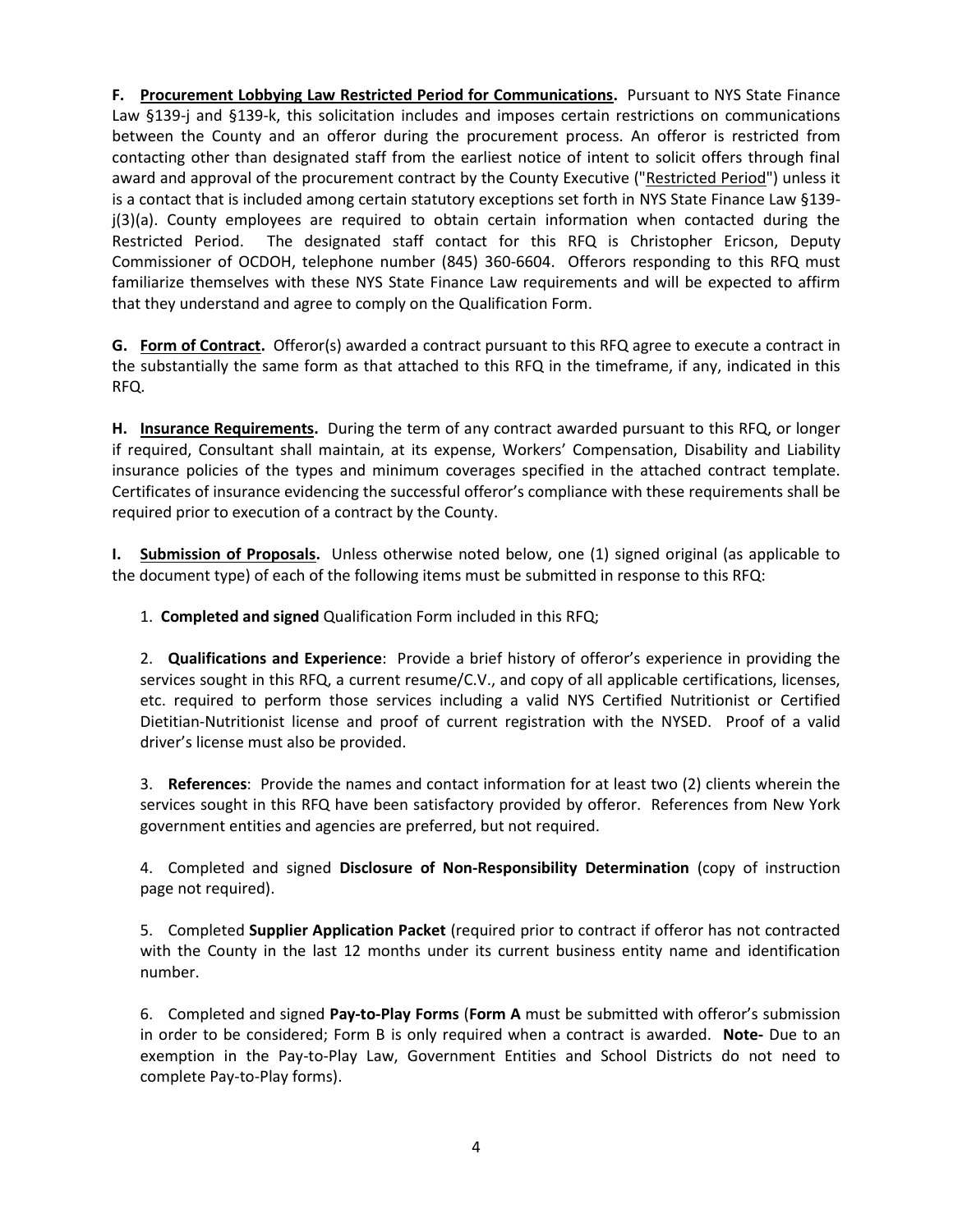**F. Procurement Lobbying Law Restricted Period for Communications.** Pursuant to NYS State Finance Law §139-j and §139-k, this solicitation includes and imposes certain restrictions on communications between the County and an offeror during the procurement process. An offeror is restricted from contacting other than designated staff from the earliest notice of intent to solicit offers through final award and approval of the procurement contract by the County Executive ("Restricted Period") unless it is a contact that is included among certain statutory exceptions set forth in NYS State Finance Law §139 j(3)(a). County employees are required to obtain certain information when contacted during the Restricted Period. The designated staff contact for this RFQ is Christopher Ericson, Deputy Commissioner of OCDOH, telephone number (845) 360-6604. Offerors responding to this RFQ must familiarize themselves with these NYS State Finance Law requirements and will be expected to affirm that they understand and agree to comply on the Qualification Form.

**G. Form of Contract.** Offeror(s) awarded a contract pursuant to this RFQ agree to execute a contract in the substantially the same form as that attached to this RFQ in the timeframe, if any, indicated in this RFQ.

**H. Insurance Requirements.** During the term of any contract awarded pursuant to this RFQ, or longer if required, Consultant shall maintain, at its expense, Workers' Compensation, Disability and Liability insurance policies of the types and minimum coverages specified in the attached contract template. Certificates of insurance evidencing the successful offeror's compliance with these requirements shall be required prior to execution of a contract by the County.

**I. Submission of Proposals.** Unless otherwise noted below, one (1) signed original (as applicable to the document type) of each of the following items must be submitted in response to this RFQ:

1. **Completed and signed** Qualification Form included in this RFQ;

2. **Qualifications and Experience**: Provide a brief history of offeror's experience in providing the services sought in this RFQ, a current resume/C.V., and copy of all applicable certifications, licenses, etc. required to perform those services including a valid NYS Certified Nutritionist or Certified Dietitian-Nutritionist license and proof of current registration with the NYSED. Proof of a valid driver's license must also be provided.

3. **References**: Provide the names and contact information for at least two (2) clients wherein the services sought in this RFQ have been satisfactory provided by offeror. References from New York government entities and agencies are preferred, but not required.

4. Completed and signed **Disclosure of Non-Responsibility Determination** (copy of instruction page not required).

5. Completed **Supplier Application Packet** (required prior to contract if offeror has not contracted with the County in the last 12 months under its current business entity name and identification number.

6. Completed and signed **Pay-to-Play Forms** (**Form A** must be submitted with offeror's submission in order to be considered; Form B is only required when a contract is awarded. **Note-** Due to an exemption in the Pay-to-Play Law, Government Entities and School Districts do not need to complete Pay-to-Play forms).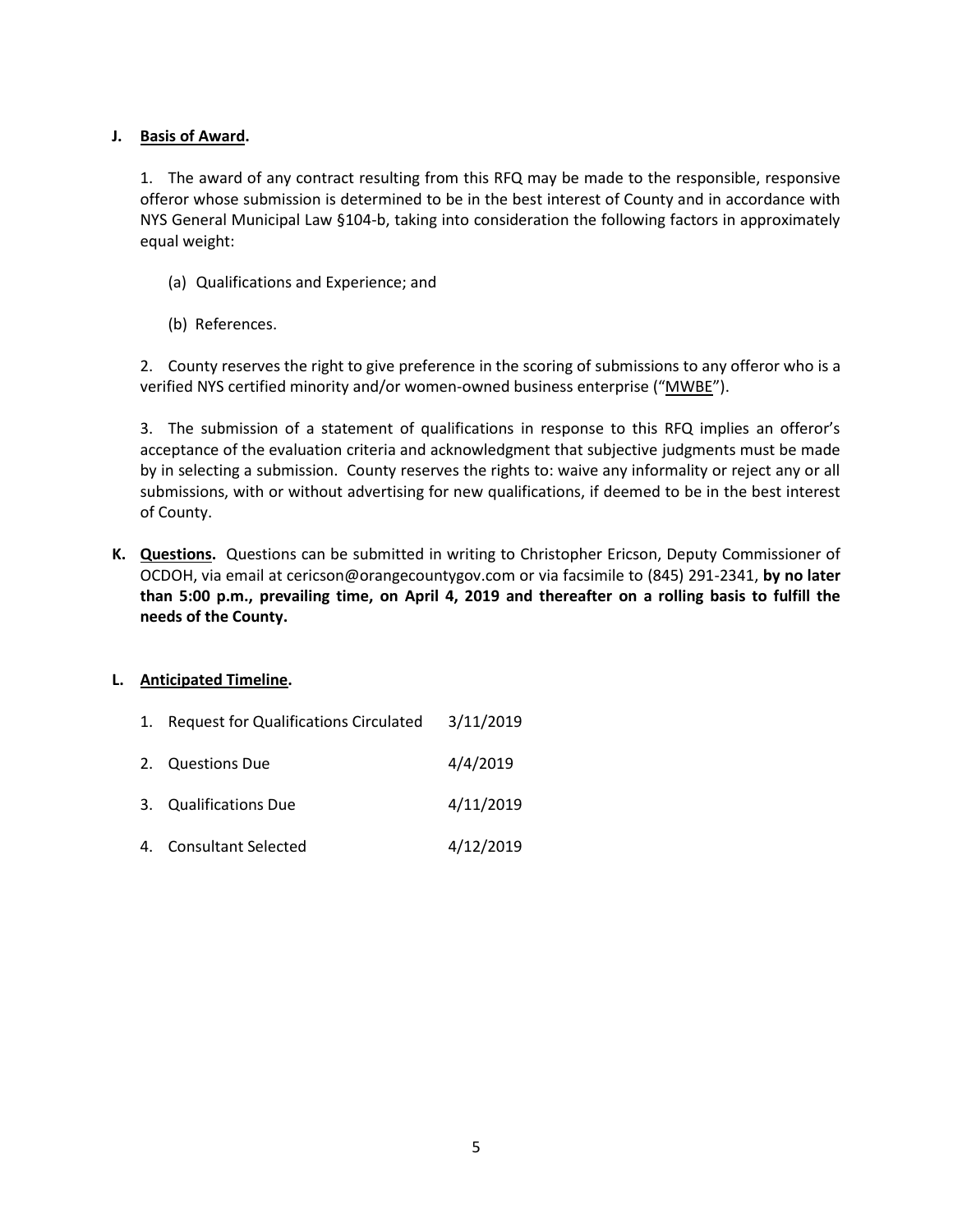## **J. Basis of Award.**

1. The award of any contract resulting from this RFQ may be made to the responsible, responsive offeror whose submission is determined to be in the best interest of County and in accordance with NYS General Municipal Law §104-b, taking into consideration the following factors in approximately equal weight:

- (a) Qualifications and Experience; and
- (b) References.

2. County reserves the right to give preference in the scoring of submissions to any offeror who is a verified NYS certified minority and/or women-owned business enterprise ("MWBE").

3. The submission of a statement of qualifications in response to this RFQ implies an offeror's acceptance of the evaluation criteria and acknowledgment that subjective judgments must be made by in selecting a submission. County reserves the rights to: waive any informality or reject any or all submissions, with or without advertising for new qualifications, if deemed to be in the best interest of County.

**K. Questions.** Questions can be submitted in writing to Christopher Ericson, Deputy Commissioner of OCDOH, via email at cericson@orangecountygov.com or via facsimile to (845) 291-2341, **by no later than 5:00 p.m., prevailing time, on April 4, 2019 and thereafter on a rolling basis to fulfill the needs of the County.**

## **L. Anticipated Timeline.**

- 1. Request for Qualifications Circulated 3/11/2019
- 2. Questions Due 4/4/2019
- 3. Qualifications Due 4/11/2019
- 4. Consultant Selected 4/12/2019